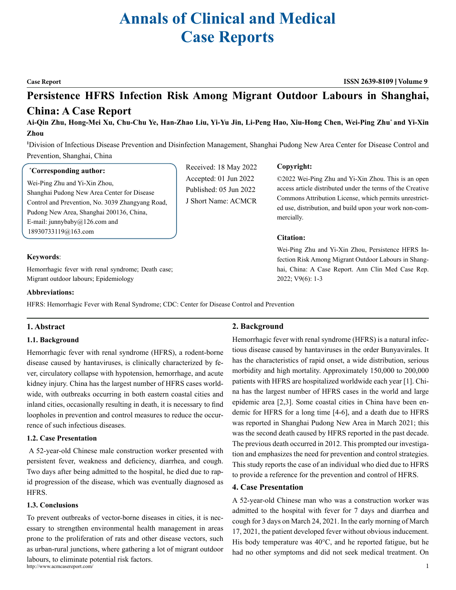# **Annals of Clinical and Medical Case Reports**

#### **Case Report ISSN 2639-8109 Volume 9**

©2022 Wei-Ping Zhu and Yi-Xin Zhou. This is an open access article distributed under the terms of the Creative Commons Attribution License, which permits unrestricted use, distribution, and build upon your work non-com-

Wei-Ping Zhu and Yi-Xin Zhou, Persistence HFRS Infection Risk Among Migrant Outdoor Labours in Shanghai, China: A Case Report. Ann Clin Med Case Rep.

# **Persistence HFRS Infection Risk Among Migrant Outdoor Labours in Shanghai,**

### **China: A Case Report**

**Ai-Qin Zhu, Hong-Mei Xu, Chu-Chu Ye, Han-Zhao Liu, Yi-Yu Jin, Li-Peng Hao, Xiu-Hong Chen, Wei-Ping Zhu\* and Yi-Xin Zhou**

**1** Division of Infectious Disease Prevention and Disinfection Management, Shanghai Pudong New Area Center for Disease Control and Prevention, Shanghai, China

> Received: 18 May 2022 Accepted: 01 Jun 2022 Published: 05 Jun 2022 J Short Name: ACMCR

### **\* Corresponding author:**

Wei-Ping Zhu and Yi-Xin Zhou, Shanghai Pudong New Area Center for Disease Control and Prevention, No. 3039 Zhangyang Road, Pudong New Area, Shanghai 200136, China, E-mail: [junnybaby@126.com](mailto:(wpzhu@pdcdc.sh.cn) and [18930733119@163.com](mailto:18930733119@163.com)

**Keywords**:

Hemorrhagic fever with renal syndrome; Death case; Migrant outdoor labours; [Epidemiology](file:///D:/%25E5%25BA%2594%25E7%2594%25A8%25E8%25BD%25AF%25E4%25BB%25B6/Youdao/Dict/8.9.6.0/resultui/html/index.html#/javascript:;)

#### **Abbreviations:**

HFRS: Hemorrhagic Fever with Renal Syndrome; CDC: Center for Disease Control and Prevention

### **1. Abstract**

### **1.1. Background**

Hemorrhagic fever with renal syndrome (HFRS), a rodent-borne disease caused by hantaviruses, is clinically characterized by fever, circulatory collapse with hypotension, hemorrhage, and acute kidney injury. China has the largest number of HFRS cases worldwide, with outbreaks occurring in both eastern coastal cities and inland cities, occasionally resulting in death, it is necessary to find loopholes in prevention and control measures to reduce the occurrence of such infectious diseases.

### **1.2. Case Presentation**

 A 52-year-old Chinese male construction worker presented with persistent fever, weakness and deficiency, [diarrhea](file:///D:/%25E5%25BA%2594%25E7%2594%25A8%25E8%25BD%25AF%25E4%25BB%25B6/Youdao/Dict/8.9.6.0/resultui/html/index.html#/javascript:;), and cough. Two days after being admitted to the hospital, he died due to rapid progression of the disease, which was eventually diagnosed as HFRS.

#### **1.3. Conclusions**

To prevent outbreaks of vector-borne diseases in cities, it is necessary to strengthen environmental health management in areas prone to the proliferation of rats and other disease vectors, such as urban-rural junctions, where gathering a lot of migrant outdoor labours, to eliminate potential risk factors.

http://www.acmcasereport.com/ 1

**Copyright:**

mercially.

**Citation:** 

2022; V9(6): 1-3

### **2. Background**

Hemorrhagic fever with renal syndrome (HFRS) is a natural infectious disease caused by hantaviruses in the order Bunyavirales. It has the characteristics of rapid onset, a wide distribution, serious morbidity and high mortality. Approximately 150,000 to 200,000 patients with HFRS are hospitalized worldwide each year [1]. China has the largest number of HFRS cases in the world and large epidemic area [2,3]. Some coastal cities in China have been endemic for HFRS for a long time [4-6], and a death due to HFRS was reported in Shanghai Pudong New Area in March 2021; this was the second death caused by HFRS reported in the past decade. The previous death occurred in 2012. This prompted our investigation and emphasizes the need for prevention and control strategies. This study reports the case of an individual who died due to HFRS to provide a reference for the prevention and control of HFRS.

#### **4. Case Presentation**

A 52-year-old Chinese man who was a construction worker was admitted to the hospital with fever for 7 days and diarrhea and cough for 3 days on March 24, 2021. In the early morning of March 17, 2021, the patient developed fever without obvious inducement. His body temperature was 40°C, and he reported fatigue, but he had no other symptoms and did not seek medical treatment. On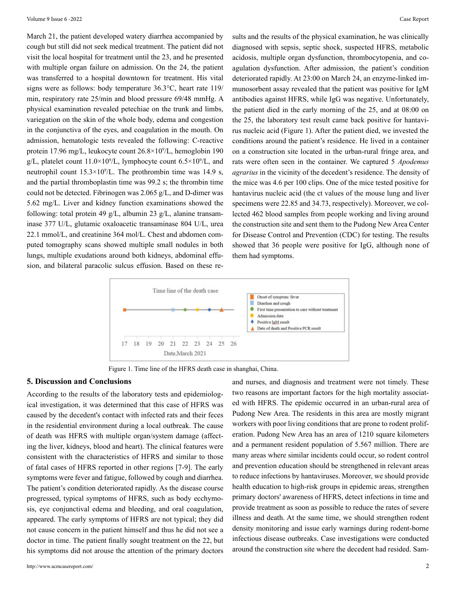March 21, the patient developed watery diarrhea accompanied by cough but still did not seek medical treatment. The patient did not visit the local hospital for treatment until the 23, and he presented with multiple organ failure on admission. On the 24, the patient was transferred to a hospital downtown for treatment. His vital signs were as follows: body temperature 36.3°C, heart rate 119/ min, respiratory rate 25/min and blood pressure 69/48 mmHg. A physical examination revealed petechiae on the trunk and limbs, variegation on the skin of the whole body, edema and congestion in the conjunctiva of the eyes, and coagulation in the mouth. On admission, hematologic tests revealed the following: C-reactive protein 17.96 mg/L, leukocyte count 26.8×109 /L, hemoglobin 190  $g/L$ , platelet count 11.0×10<sup>9</sup>/L, lymphocyte count 6.5×10<sup>9</sup>/L, and neutrophil count  $15.3 \times 10^{9}/L$ . The prothrombin time was 14.9 s, and the partial thromboplastin time was 99.2 s; the thrombin time could not be detected. Fibrinogen was 2.065 g/L, and D-dimer was 5.62 mg/L. Liver and kidney function examinations showed the following: total protein 49 g/L, albumin 23 g/L, alanine transaminase 377 U/L, glutamic oxaloacetic transaminase 804 U/L, urea 22.1 mmol/L, and creatinine 364 mol/L. Chest and abdomen computed tomography scans showed multiple small nodules in both lungs, multiple exudations around both kidneys, abdominal effusion, and bilateral paracolic sulcus effusion. Based on these re-

sults and the results of the physical examination, he was clinically diagnosed with sepsis, septic shock, suspected HFRS, metabolic acidosis, multiple organ dysfunction, thrombocytopenia, and coagulation dysfunction. After admission, the patient's condition deteriorated rapidly. At 23:00 on March 24, an enzyme-linked immunosorbent assay revealed that the patient was positive for IgM antibodies against HFRS, while IgG was negative. Unfortunately, the patient died in the early morning of the 25, and at 08:00 on the 25, the laboratory test result came back positive for hantavirus nucleic acid (Figure 1). After the patient died, we invested the conditions around the patient's residence. He lived in a container on a construction site located in the urban-rural fringe area, and rats were often seen in the container. We captured 5 *Apodemus agrarius* in the vicinity of the decedent's residence. The density of the mice was 4.6 per 100 clips. One of the mice tested positive for hantavirus nucleic acid (the ct values of the mouse lung and liver specimens were 22.85 and 34.73, respectively). Moreover, we collected 462 blood samples from people working and living around the construction site and sent them to the Pudong New Area Center for Disease Control and Prevention (CDC) for testing. The results showed that 36 people were positive for IgG, although none of them had symptoms.



Figure 1. Time line of the HFRS death case in shanghai, China.

#### **5. Discussion and Conclusions**

According to the results of the laboratory tests and epidemiological investigation, it was determined that this case of HFRS was caused by the decedent's contact with infected rats and their feces in the residential environment during a local outbreak. The cause of death was HFRS with multiple organ/system damage (affecting the liver, kidneys, blood and heart). The clinical features were consistent with the characteristics of HFRS and similar to those of fatal cases of HFRS reported in other regions [7-9]. The early symptoms were fever and fatigue, followed by cough and diarrhea. The patient's condition deteriorated rapidly. As the disease course progressed, typical symptoms of HFRS, such as body ecchymosis, eye conjunctival edema and bleeding, and oral coagulation, appeared. The early symptoms of HFRS are not typical; they did not cause concern in the patient himself and thus he did not see a doctor in time. The patient finally sought treatment on the 22, but his symptoms did not arouse the attention of the primary doctors

and nurses, and diagnosis and treatment were not timely. These two reasons are important factors for the high mortality associated with HFRS. The epidemic occurred in an urban-rural area of Pudong New Area. The residents in this area are mostly migrant workers with poor living conditions that are prone to rodent proliferation. Pudong New Area has an area of 1210 square kilometers and a permanent resident population of 5.567 million. There are many areas where similar incidents could occur, so rodent control and prevention education should be strengthened in relevant areas to reduce infections by hantaviruses. Moreover, we should provide health education to high-risk groups in epidemic areas, strengthen primary doctors' awareness of HFRS, detect infections in time and provide treatment as soon as possible to reduce the rates of severe illness and death. At the same time, we should strengthen rodent density monitoring and issue early warnings during rodent-borne infectious disease outbreaks. Case investigations were conducted around the construction site where the decedent had resided. Sam